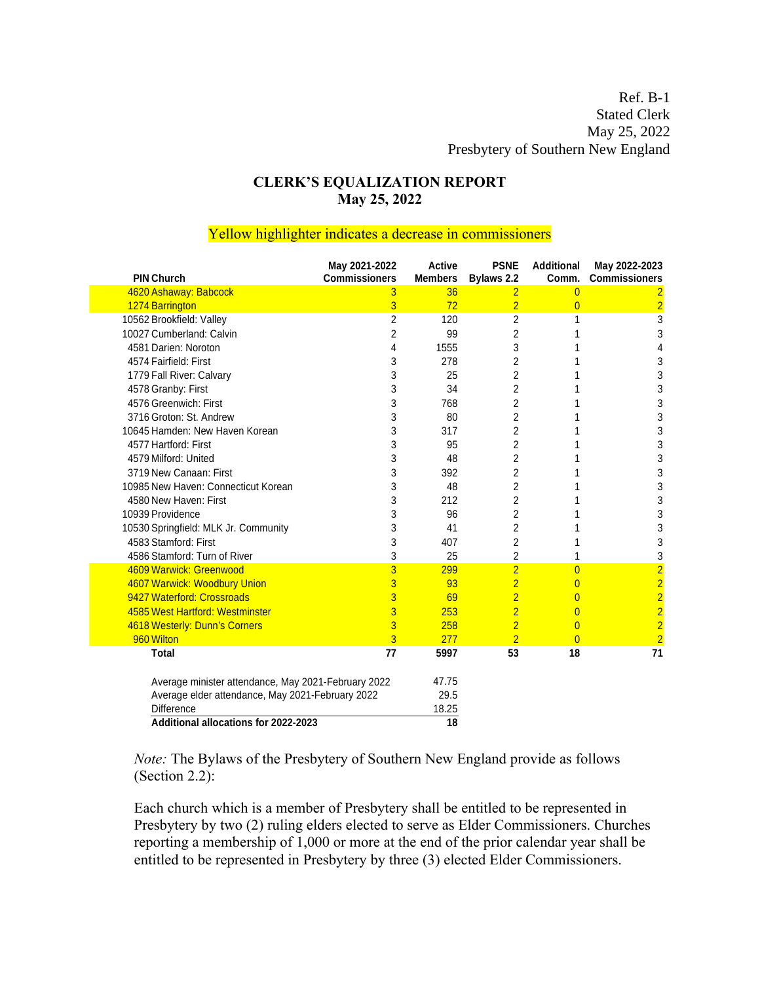## **CLERK'S EQUALIZATION REPORT May 25, 2022**

## Yellow highlighter indicates a decrease in commissioners

| <b>PIN Church</b>                                   | May 2021-2022<br><b>Commissioners</b> | <b>Active</b><br><b>Members</b> | <b>PSNE</b><br>Bylaws 2.2 | <b>Additional</b><br>Comm. | May 2022-2023<br><b>Commissioners</b>        |
|-----------------------------------------------------|---------------------------------------|---------------------------------|---------------------------|----------------------------|----------------------------------------------|
| 4620 Ashaway: Babcock                               | 3                                     | 36                              | $\overline{2}$            | $\overline{0}$             | $\overline{2}$                               |
| 1274 Barrington                                     | 3                                     | 72                              | $\overline{2}$            | $\overline{0}$             | $\overline{2}$                               |
| 10562 Brookfield: Valley                            | $\overline{c}$                        | 120                             | $\overline{c}$            | 1                          | 3                                            |
| 10027 Cumberland: Calvin                            | $\overline{c}$                        | 99                              | 2                         | 1                          | 3                                            |
| 4581 Darien: Noroton                                | 4                                     | 1555                            | 3                         | 1                          | 4                                            |
| 4574 Fairfield: First                               | 3                                     | 278                             | 2                         | 1                          | 3                                            |
| 1779 Fall River: Calvary                            | 3                                     | 25                              | 2                         | 1                          | 3                                            |
| 4578 Granby: First                                  | 3                                     | 34                              | $\overline{c}$            | 1                          | 3                                            |
| 4576 Greenwich: First                               | 3                                     | 768                             | 2                         | 1                          | 3                                            |
| 3716 Groton: St. Andrew                             | 3                                     | 80                              | $\overline{c}$            | 1                          | 3                                            |
| 10645 Hamden: New Haven Korean                      | 3                                     | 317                             | 2                         | 1                          | 3                                            |
| 4577 Hartford: First                                | 3                                     | 95                              | 2                         | 1                          | 3                                            |
| 4579 Milford: United                                | 3                                     | 48                              | 2                         | 1                          | 3                                            |
| 3719 New Canaan: First                              | 3                                     | 392                             | 2                         | 1                          | 3                                            |
| 10985 New Haven: Connecticut Korean                 | 3                                     | 48                              | $\overline{2}$            | 1                          | 3                                            |
| 4580 New Haven: First                               | 3                                     | 212                             | $\overline{2}$            | 1                          | 3                                            |
| 10939 Providence                                    | 3                                     | 96                              | 2                         | 1                          | 3                                            |
| 10530 Springfield: MLK Jr. Community                | 3                                     | 41                              | 2                         | 1                          | 3                                            |
| 4583 Stamford: First                                | 3                                     | 407                             | 2                         | 1                          | 3                                            |
| 4586 Stamford: Turn of River                        | 3                                     | 25                              | $\overline{2}$            | 1                          | 3                                            |
| 4609 Warwick: Greenwood                             | 3                                     | 299                             | $\overline{2}$            | $\overline{0}$             | $\overline{2}$                               |
| 4607 Warwick: Woodbury Union                        | 3                                     | 93                              | $\overline{2}$            | $\overline{0}$             | $\begin{array}{c}\n2 \\ 2 \\ 2\n\end{array}$ |
| 9427 Waterford: Crossroads                          | 3                                     | 69                              | $\overline{2}$            | $\overline{0}$             |                                              |
| 4585 West Hartford: Westminster                     | 3                                     | 253                             | $\overline{2}$            | $\overline{0}$             |                                              |
| 4618 Westerly: Dunn's Corners                       | 3                                     | 258                             | $\overline{2}$            | $\overline{0}$             | $\overline{2}$                               |
| 960 Wilton                                          | 3                                     | 277                             | $\overline{2}$            | $\overline{0}$             | $\overline{2}$                               |
| <b>Total</b>                                        | 77                                    | 5997                            | 53                        | 18                         | 71                                           |
| Average minister attendance, May 2021-February 2022 |                                       | 47.75                           |                           |                            |                                              |
| Average elder attendance, May 2021-February 2022    |                                       | 29.5                            |                           |                            |                                              |
| Difference                                          |                                       | 18.25                           |                           |                            |                                              |
| Additional allocations for 2022-2023                |                                       | 18                              |                           |                            |                                              |

*Note:* The Bylaws of the Presbytery of Southern New England provide as follows (Section 2.2):

Each church which is a member of Presbytery shall be entitled to be represented in Presbytery by two (2) ruling elders elected to serve as Elder Commissioners. Churches reporting a membership of 1,000 or more at the end of the prior calendar year shall be entitled to be represented in Presbytery by three (3) elected Elder Commissioners.